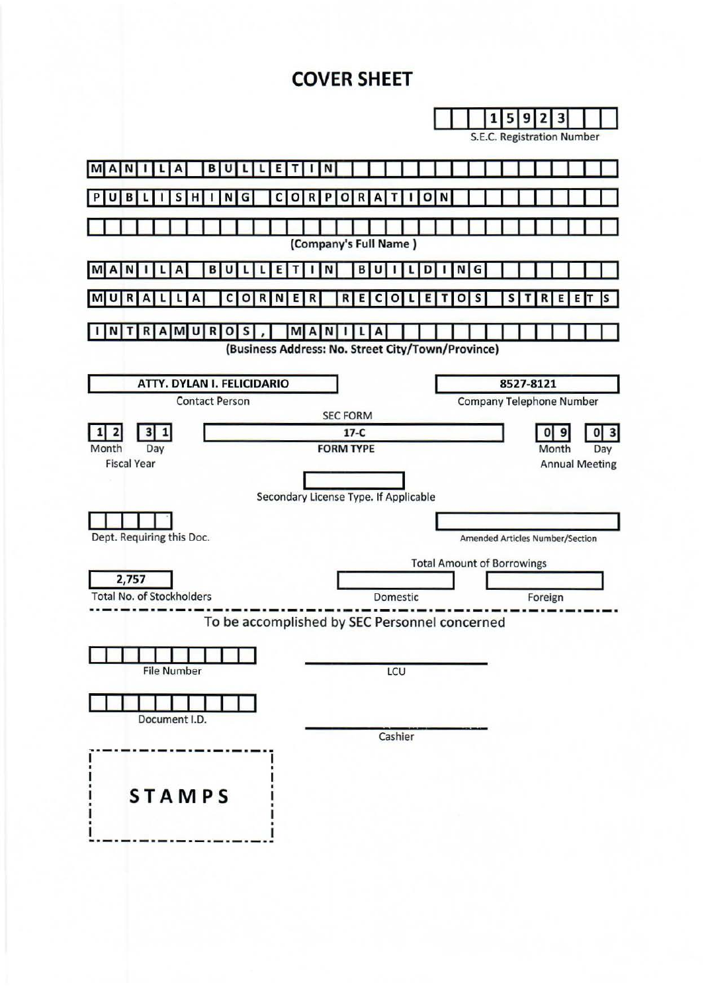# **COVER SHEET**

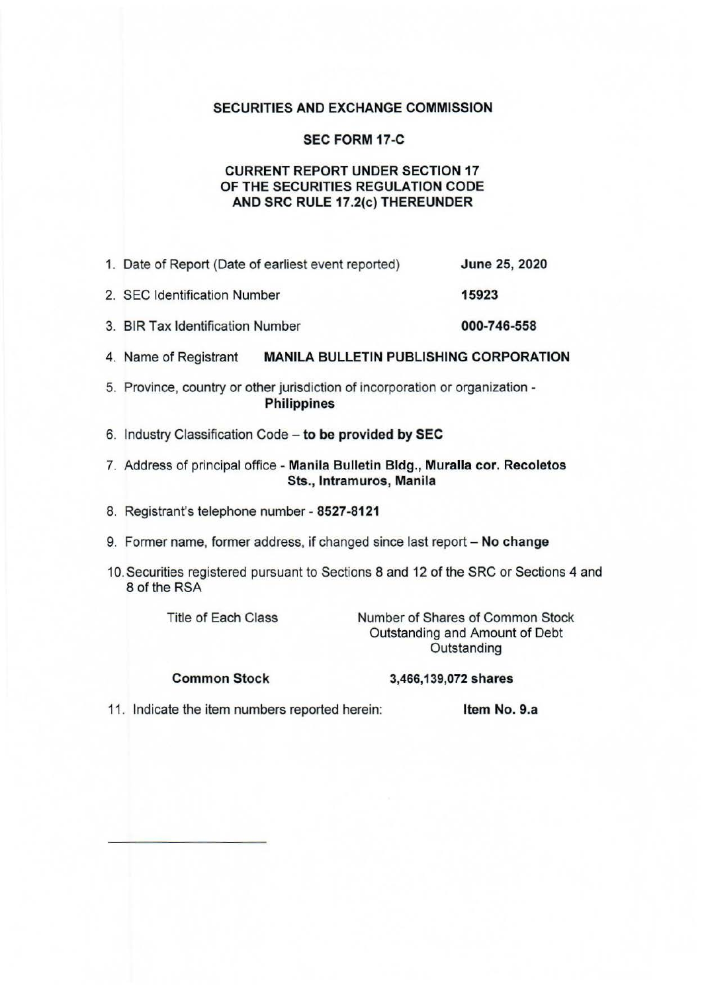# SECURITIES AND EXCHANGE COMMISSION

# SEC FORM 17-C

# CURRENT REPORT UNDER SECTION 17 OF THE SECURITIES REGULATION CODE AND SRC RULE 17.2(c) THEREUNDER

- 1. Date of Report (Date of earliest event reported) June 25, 2020 2. SEC Identification Number 15923 3. BIR Tax Identification Number 000-746-558 4. Name of Registrant MANILA BULLETIN PUBLISHING CORPORATION 5. Province, country or other jurisdiction of incorporation or organization - Philippines
- 6. Industry Classification Code to be provided by SEC
- 7. Address of principal office Manila Bulletin Bldg., Muralla cor. Recoletos Sts., lntramuros, Manila
- 8. Registrant's telephone number 8527-8121
- 9. Former name, former address, if changed since last report No change
- 10. Securities registered pursuant to Sections 8 and 12 of the SRC or Sections 4 and 8 of the RSA

Title of Each Class

Number of Shares of Common Stock Outstanding and Amount of Debt **Outstanding** 

Common Stock

3,466, 139,072 shares

11. Indicate the item numbers reported herein: **Item No. 9.a**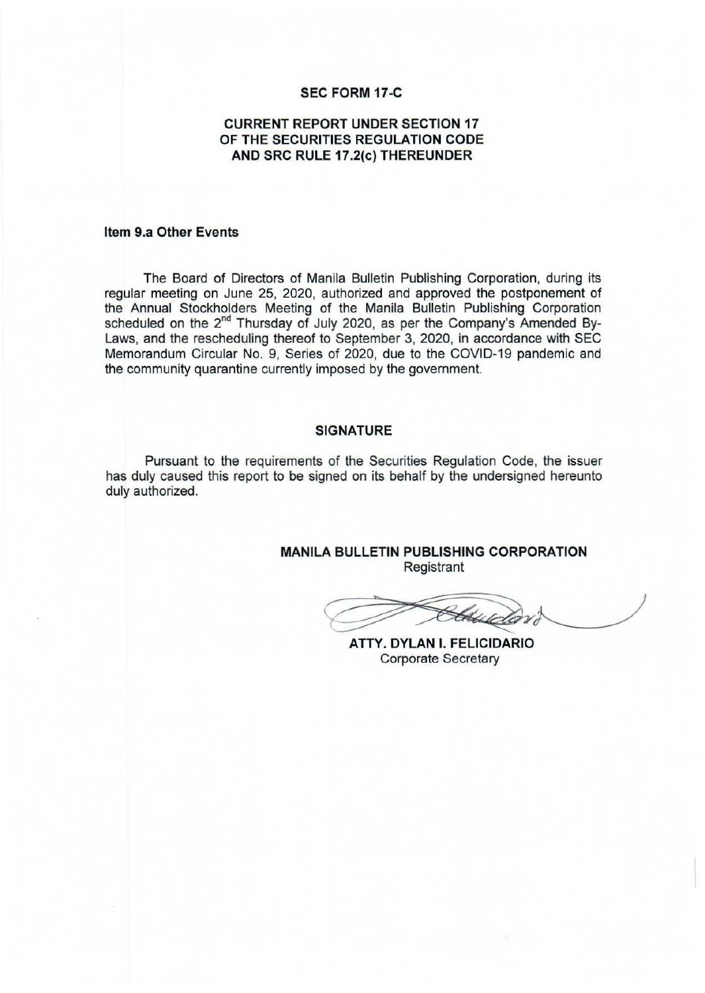#### **SEC FORM 17-C**

# **CURRENT REPORT UNDER SECTION 17 OF THE SECURITIES REGULATION CODE AND SRC RULE 17.2(c) THEREUNDER**

## **Item 9.a Other Events**

The Board of Directors of Manila Bulletin Publishing Corporation, during its regular meeting on June 25, 2020, authorized and approved the postponement of the Annual Stockholders Meeting of the Manila Bulletin Publishing Corporation scheduled on the 2<sup>nd</sup> Thursday of July 2020, as per the Company's Amended By-Laws, and the rescheduling thereof to September 3, 2020, in accordance with SEC Memorandum Circular No. 9, Series of 2020, due to the COVID-19 pandemic and the community quarantine currently imposed by the government.

## **SIGNATURE**

Pursuant to the requirements of the Securities Regulation Code, the issuer has duly caused this report to be signed on its behalf by the undersigned hereunto duly authorized.

> **MANILA BULLETIN PUBLISHING CORPORATION**  Registrant

**ATTY. DYLAN I. FELICIDARIO**  Corporate Secretary